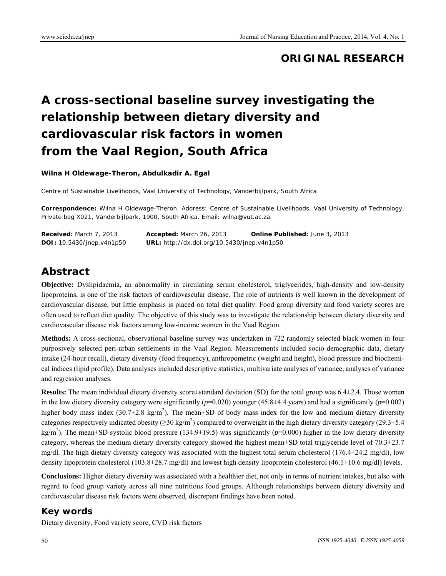## **ORIGINAL RESEARCH**

# **A cross-sectional baseline survey investigating the relationship between dietary diversity and cardiovascular risk factors in women from the Vaal Region, South Africa**

**Wilna H Oldewage-Theron, Abdulkadir A. Egal** 

Centre of Sustainable Livelihoods, Vaal University of Technology, Vanderbijlpark, South Africa

**Correspondence:** Wilna H Oldewage-Theron. Address: Centre of Sustainable Livelihoods, Vaal University of Technology, Private bag X021, Vanderbijlpark, 1900, South Africa. Email: wilna@vut.ac.za.

| <b>Received:</b> March 7, 2013   | <b>Accepted:</b> March 26, 2013                    | <b>Online Published: June 3, 2013</b> |
|----------------------------------|----------------------------------------------------|---------------------------------------|
| <b>DOI:</b> 10.5430/jnep.v4n1p50 | <b>URL:</b> http://dx.doi.org/10.5430/jnep.v4n1p50 |                                       |

## **Abstract**

**Objective:** Dyslipidaemia, an abnormality in circulating serum cholesterol, triglycerides, high-density and low-density lipoproteins, is one of the risk factors of cardiovascular disease. The role of nutrients is well known in the development of cardiovascular disease, but little emphasis is placed on total diet quality. Food group diversity and food variety scores are often used to reflect diet quality. The objective of this study was to investigate the relationship between dietary diversity and cardiovascular disease risk factors among low-income women in the Vaal Region.

**Methods:** A cross-sectional, observational baseline survey was undertaken in 722 randomly selected black women in four purposively selected peri-urban settlements in the Vaal Region. Measurements included socio-demographic data, dietary intake (24-hour recall), dietary diversity (food frequency), anthropometric (weight and height), blood pressure and biochemical indices (lipid profile). Data analyses included descriptive statistics, multivariate analyses of variance, analyses of variance and regression analyses.

**Results:** The mean individual dietary diversity score±standard deviation (SD) for the total group was 6.4±2.4. Those women in the low dietary diversity category were significantly  $(p=0.020)$  younger (45.8±4.4 years) and had a significantly  $(p=0.002)$ higher body mass index (30.7 $\pm$ 2.8 kg/m<sup>2</sup>). The mean $\pm$ SD of body mass index for the low and medium dietary diversity categories respectively indicated obesity ( $\geq$ 30 kg/m<sup>2</sup>) compared to overweight in the high dietary diversity category (29.3 $\pm$ 5.4 kg/m<sup>2</sup>). The mean $\pm$ SD systolic blood pressure (134.9 $\pm$ 19.5) was significantly ( $p$ =0.000) higher in the low dietary diversity category, whereas the medium dietary diversity category showed the highest mean±SD total triglyceride level of 70.3±23.7 mg/dl. The high dietary diversity category was associated with the highest total serum cholesterol (176.4±24.2 mg/dl), low density lipoprotein cholesterol (103.8±28.7 mg/dl) and lowest high density lipoprotein cholesterol (46.1±10.6 mg/dl) levels.

**Conclusions:** Higher dietary diversity was associated with a healthier diet, not only in terms of nutrient intakes, but also with regard to food group variety across all nine nutritious food groups. Although relationships between dietary diversity and cardiovascular disease risk factors were observed, discrepant findings have been noted.

### **Key words**

Dietary diversity, Food variety score, CVD risk factors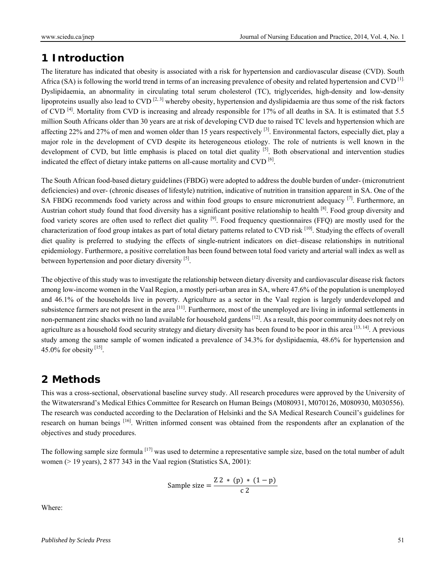## **1 Introduction**

The literature has indicated that obesity is associated with a risk for hypertension and cardiovascular disease (CVD). South Africa (SA) is following the world trend in terms of an increasing prevalence of obesity and related hypertension and CVD<sup>[1].</sup> Dyslipidaemia, an abnormality in circulating total serum cholesterol (TC), triglycerides, high-density and low-density lipoproteins usually also lead to CVD  $^{[2, 3]}$  whereby obesity, hypertension and dyslipidaemia are thus some of the risk factors of CVD  $^{[4]}$ . Mortality from CVD is increasing and already responsible for 17% of all deaths in SA. It is estimated that 5.5 million South Africans older than 30 years are at risk of developing CVD due to raised TC levels and hypertension which are affecting 22% and 27% of men and women older than 15 years respectively <sup>[3]</sup>. Environmental factors, especially diet, play a major role in the development of CVD despite its heterogeneous etiology. The role of nutrients is well known in the development of CVD, but little emphasis is placed on total diet quality <sup>[5]</sup>. Both observational and intervention studies indicated the effect of dietary intake patterns on all-cause mortality and CVD  $^{[6]}$ .

The South African food-based dietary guidelines (FBDG) were adopted to address the double burden of under- (micronutrient deficiencies) and over- (chronic diseases of lifestyle) nutrition, indicative of nutrition in transition apparent in SA. One of the SA FBDG recommends food variety across and within food groups to ensure micronutrient adequacy <sup>[7]</sup>. Furthermore, an Austrian cohort study found that food diversity has a significant positive relationship to health <sup>[8]</sup>. Food group diversity and food variety scores are often used to reflect diet quality <sup>[9]</sup>. Food frequency questionnaires (FFQ) are mostly used for the characterization of food group intakes as part of total dietary patterns related to CVD risk <sup>[10]</sup>. Studying the effects of overall diet quality is preferred to studying the effects of single-nutrient indicators on diet–disease relationships in nutritional epidemiology. Furthermore, a positive correlation has been found between total food variety and arterial wall index as well as between hypertension and poor dietary diversity [5].

The objective of this study was to investigate the relationship between dietary diversity and cardiovascular disease risk factors among low-income women in the Vaal Region, a mostly peri-urban area in SA, where 47.6% of the population is unemployed and 46.1% of the households live in poverty. Agriculture as a sector in the Vaal region is largely underdeveloped and subsistence farmers are not present in the area  $\left[11\right]$ . Furthermore, most of the unemployed are living in informal settlements in non-permanent zinc shacks with no land available for household gardens  $^{[12]}$ . As a result, this poor community does not rely on agriculture as a household food security strategy and dietary diversity has been found to be poor in this area  $[13, 14]$ . A previous study among the same sample of women indicated a prevalence of 34.3% for dyslipidaemia, 48.6% for hypertension and 45.0% for obesity  $^{[15]}$ .

## **2 Methods**

This was a cross-sectional, observational baseline survey study. All research procedures were approved by the University of the Witwatersrand's Medical Ethics Committee for Research on Human Beings (M080931, M070126, M080930, M030556). The research was conducted according to the Declaration of Helsinki and the SA Medical Research Council's guidelines for research on human beings <sup>[16]</sup>. Written informed consent was obtained from the respondents after an explanation of the objectives and study procedures.

The following sample size formula  $^{[17]}$  was used to determine a representative sample size, based on the total number of adult women (> 19 years), 2 877 343 in the Vaal region (Statistics SA, 2001):

Sample size = 
$$
\frac{Z \cdot 2 * (p) * (1 - p)}{c \cdot 2}
$$

Where: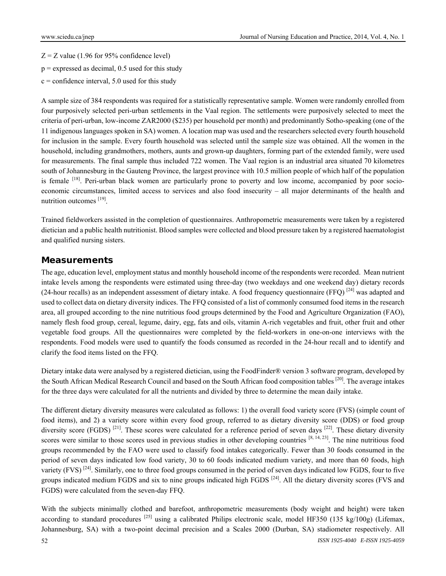$Z = Z$  value (1.96 for 95% confidence level)

 $p =$  expressed as decimal, 0.5 used for this study

 $c =$  confidence interval, 5.0 used for this study

A sample size of 384 respondents was required for a statistically representative sample. Women were randomly enrolled from four purposively selected peri-urban settlements in the Vaal region. The settlements were purposively selected to meet the criteria of peri-urban, low-income ZAR2000 (\$235) per household per month) and predominantly Sotho-speaking (one of the 11 indigenous languages spoken in SA) women. A location map was used and the researchers selected every fourth household for inclusion in the sample. Every fourth household was selected until the sample size was obtained. All the women in the household, including grandmothers, mothers, aunts and grown-up daughters, forming part of the extended family, were used for measurements. The final sample thus included 722 women. The Vaal region is an industrial area situated 70 kilometres south of Johannesburg in the Gauteng Province, the largest province with 10.5 million people of which half of the population is female <sup>[18]</sup>. Peri-urban black women are particularly prone to poverty and low income, accompanied by poor socioeconomic circumstances, limited access to services and also food insecurity – all major determinants of the health and nutrition outcomes [19].

Trained fieldworkers assisted in the completion of questionnaires. Anthropometric measurements were taken by a registered dietician and a public health nutritionist. Blood samples were collected and blood pressure taken by a registered haematologist and qualified nursing sisters.

#### **Measurements**

The age, education level, employment status and monthly household income of the respondents were recorded. Mean nutrient intake levels among the respondents were estimated using three-day (two weekdays and one weekend day) dietary records (24-hour recalls) as an independent assessment of dietary intake. A food frequency questionnaire (FFQ)  $[24]$  was adapted and used to collect data on dietary diversity indices. The FFQ consisted of a list of commonly consumed food items in the research area, all grouped according to the nine nutritious food groups determined by the Food and Agriculture Organization (FAO), namely flesh food group, cereal, legume, dairy, egg, fats and oils, vitamin A-rich vegetables and fruit, other fruit and other vegetable food groups. All the questionnaires were completed by the field-workers in one-on-one interviews with the respondents. Food models were used to quantify the foods consumed as recorded in the 24-hour recall and to identify and clarify the food items listed on the FFQ.

Dietary intake data were analysed by a registered dietician, using the FoodFinder® version 3 software program, developed by the South African Medical Research Council and based on the South African food composition tables [20]. The average intakes for the three days were calculated for all the nutrients and divided by three to determine the mean daily intake.

The different dietary diversity measures were calculated as follows: 1) the overall food variety score (FVS) (simple count of food items), and 2) a variety score within every food group, referred to as dietary diversity score (DDS) or food group diversity score (FGDS) <sup>[21]</sup>. These scores were calculated for a reference period of seven days <sup>[22]</sup>. These dietary diversity scores were similar to those scores used in previous studies in other developing countries  $[8, 14, 23]$ . The nine nutritious food groups recommended by the FAO were used to classify food intakes categorically. Fewer than 30 foods consumed in the period of seven days indicated low food variety, 30 to 60 foods indicated medium variety, and more than 60 foods, high variety  $(FVS)^{24}$ . Similarly, one to three food groups consumed in the period of seven days indicated low FGDS, four to five groups indicated medium FGDS and six to nine groups indicated high FGDS <sup>[24]</sup>. All the dietary diversity scores (FVS and FGDS) were calculated from the seven-day FFQ.

With the subjects minimally clothed and barefoot, anthropometric measurements (body weight and height) were taken according to standard procedures  $^{[25]}$  using a calibrated Philips electronic scale, model HF350 (135 kg/100g) (Lifemax, Johannesburg, SA) with a two-point decimal precision and a Scales 2000 (Durban, SA) stadiometer respectively. All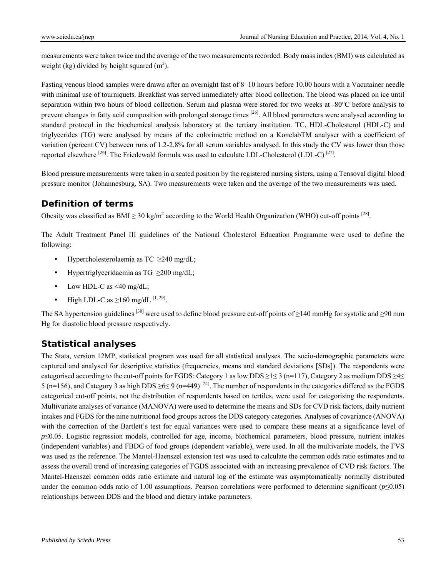measurements were taken twice and the average of the two measurements recorded. Body mass index (BMI) was calculated as weight (kg) divided by height squared  $(m^2)$ .

Fasting venous blood samples were drawn after an overnight fast of 8–10 hours before 10.00 hours with a Vacutainer needle with minimal use of tourniquets. Breakfast was served immediately after blood collection. The blood was placed on ice until separation within two hours of blood collection. Serum and plasma were stored for two weeks at -80°C before analysis to prevent changes in fatty acid composition with prolonged storage times  $^{[26]}$ . All blood parameters were analysed according to standard protocol in the biochemical analysis laboratory at the tertiary institution. TC, HDL-Cholesterol (HDL-C) and triglycerides (TG) were analysed by means of the colorimetric method on a KonelabTM analyser with a coefficient of variation (percent CV) between runs of 1.2-2.8% for all serum variables analysed. In this study the CV was lower than those reported elsewhere  $^{[26]}$ . The Friedewald formula was used to calculate LDL-Cholesterol (LDL-C)  $^{[27]}$ .

Blood pressure measurements were taken in a seated position by the registered nursing sisters, using a Tensoval digital blood pressure monitor (Johannesburg, SA). Two measurements were taken and the average of the two measurements was used.

## **Definition of terms**

Obesity was classified as BMI  $\geq 30$  kg/m<sup>2</sup> according to the World Health Organization (WHO) cut-off points <sup>[28]</sup>.

The Adult Treatment Panel III guidelines of the National Cholesterol Education Programme were used to define the following:

- Hypercholesterolaemia as TC  $\geq$ 240 mg/dL;
- Hypertriglyceridaemia as TG  $\geq$ 200 mg/dL;
- Low HDL-C as  $\leq 40$  mg/dL;
- High LDL-C as  $\geq$ 160 mg/dL <sup>[1, 29]</sup>.

The SA hypertension guidelines <sup>[30]</sup> were used to define blood pressure cut-off points of  $\geq$ 140 mmHg for systolic and  $\geq$ 90 mm Hg for diastolic blood pressure respectively.

## **Statistical analyses**

The Stata, version 12MP, statistical program was used for all statistical analyses. The socio-demographic parameters were captured and analysed for descriptive statistics (frequencies, means and standard deviations [SDs]). The respondents were categorised according to the cut-off points for FGDS: Category 1 as low DDS  $\geq 1 \leq 3$  (n=117), Category 2 as medium DDS  $\geq 4 \leq$ 5 (n=156), and Category 3 as high DDS  $\geq$  6 \le 9 (n=449)  $^{[24]}$ . The number of respondents in the categories differed as the FGDS categorical cut-off points, not the distribution of respondents based on tertiles, were used for categorising the respondents. Multivariate analyses of variance (MANOVA) were used to determine the means and SDs for CVD risk factors, daily nutrient intakes and FGDS for the nine nutritional food groups across the DDS category categories. Analyses of covariance (ANOVA) with the correction of the Bartlett's test for equal variances were used to compare these means at a significance level of *p*≤0.05. Logistic regression models, controlled for age, income, biochemical parameters, blood pressure, nutrient intakes (independent variables) and FBDG of food groups (dependent variable), were used. In all the multivariate models, the FVS was used as the reference. The Mantel-Haenszel extension test was used to calculate the common odds ratio estimates and to assess the overall trend of increasing categories of FGDS associated with an increasing prevalence of CVD risk factors. The Mantel-Haenszel common odds ratio estimate and natural log of the estimate was asymptomatically normally distributed under the common odds ratio of 1.00 assumptions. Pearson correlations were performed to determine significant (*p*≤0.05) relationships between DDS and the blood and dietary intake parameters.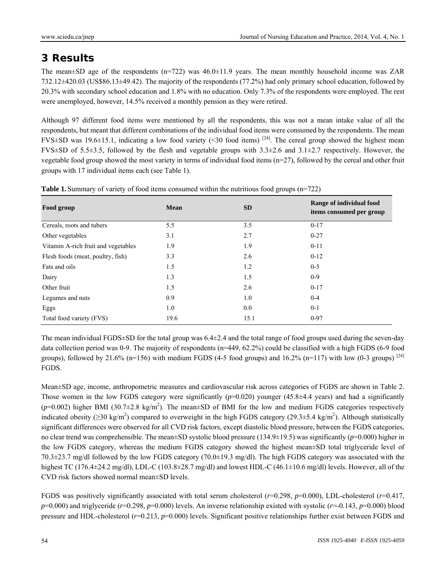## **3 Results**

The mean $\pm$ SD age of the respondents (n=722) was 46.0 $\pm$ 11.9 years. The mean monthly household income was ZAR 732.12±420.03 (US\$86.13±49.42). The majority of the respondents (77.2%) had only primary school education, followed by 20.3% with secondary school education and 1.8% with no education. Only 7.3% of the respondents were employed. The rest were unemployed, however, 14.5% received a monthly pension as they were retired.

Although 97 different food items were mentioned by all the respondents, this was not a mean intake value of all the respondents, but meant that different combinations of the individual food items were consumed by the respondents. The mean FVS $\pm$ SD was 19.6 $\pm$ 15.1, indicating a low food variety (<30 food items) [24]. The cereal group showed the highest mean FVS±SD of 5.5±3.5, followed by the flesh and vegetable groups with 3.3±2.6 and 3.1±2.7 respectively. However, the vegetable food group showed the most variety in terms of individual food items (n=27), followed by the cereal and other fruit groups with 17 individual items each (see Table 1).

| Food group                          | <b>Mean</b> | <b>SD</b> | Range of individual food<br>items consumed per group |
|-------------------------------------|-------------|-----------|------------------------------------------------------|
| Cereals, roots and tubers           | 5.5         | 3.5       | $0 - 17$                                             |
| Other vegetables                    | 3.1         | 2.7       | $0 - 27$                                             |
| Vitamin A-rich fruit and vegetables | 1.9         | 1.9       | $0 - 11$                                             |
| Flesh foods (meat, poultry, fish)   | 3.3         | 2.6       | $0 - 12$                                             |
| Fats and oils                       | 1.5         | 1.2       | $0 - 5$                                              |
| Dairy                               | 1.3         | 1.5       | $0 - 9$                                              |
| Other fruit                         | 1.5         | 2.6       | $0 - 17$                                             |
| Legumes and nuts                    | 0.9         | 1.0       | $0 - 4$                                              |
| Eggs                                | 1.0         | 0.0       | $0 - 1$                                              |
| Total food variety (FVS)            | 19.6        | 15.1      | $0 - 97$                                             |

**Table 1.** Summary of variety of food items consumed within the nutritious food groups (n=722)

The mean individual FGDS $\pm$ SD for the total group was 6.4 $\pm$ 2.4 and the total range of food groups used during the seven-day data collection period was 0-9. The majority of respondents (n=449, 62.2%) could be classified with a high FGDS (6-9 food groups), followed by 21.6% (n=156) with medium FGDS (4-5 food groups) and 16.2% (n=117) with low (0-3 groups)  $^{[24]}$ FGDS.

Mean±SD age, income, anthropometric measures and cardiovascular risk across categories of FGDS are shown in Table 2. Those women in the low FGDS category were significantly  $(p=0.020)$  younger (45.8 $\pm$ 4.4 years) and had a significantly  $(p=0.002)$  higher BMI (30.7 $\pm$ 2.8 kg/m<sup>2</sup>). The mean $\pm$ SD of BMI for the low and medium FGDS categories respectively indicated obesity ( $\geq$ 30 kg/m<sup>2</sup>) compared to overweight in the high FGDS category (29.3 $\pm$ 5.4 kg/m<sup>2</sup>). Although statistically significant differences were observed for all CVD risk factors, except diastolic blood pressure, between the FGDS categories, no clear trend was comprehensible. The mean±SD systolic blood pressure (134.9±19.5) was significantly ( $p=0.000$ ) higher in the low FGDS category, whereas the medium FGDS category showed the highest mean±SD total triglyceride level of 70.3±23.7 mg/dl followed by the low FGDS category (70.0±19.3 mg/dl). The high FGDS category was associated with the highest TC (176.4 $\pm$ 24.2 mg/dl), LDL-C (103.8 $\pm$ 28.7 mg/dl) and lowest HDL-C (46.1 $\pm$ 10.6 mg/dl) levels. However, all of the CVD risk factors showed normal mean±SD levels.

FGDS was positively significantly associated with total serum cholesterol (*r*=0.298, *p*=0.000), LDL-cholesterol (*r*=0.417,  $p=0.000$ ) and triglyceride ( $r=0.298$ ,  $p=0.000$ ) levels. An inverse relationship existed with systolic ( $r=0.143$ ,  $p=0.000$ ) blood pressure and HDL-cholesterol ( $r=0.213$ ,  $p=0.000$ ) levels. Significant positive relationships further exist between FGDS and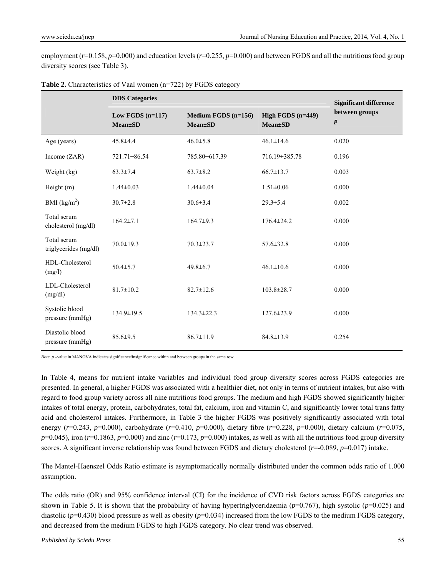employment ( $r=0.158$ ,  $p=0.000$ ) and education levels ( $r=0.255$ ,  $p=0.000$ ) and between FGDS and all the nutritious food group diversity scores (see Table 3).

|                                      | <b>DDS</b> Categories                | <b>Significant difference</b>          |                                     |                                    |  |
|--------------------------------------|--------------------------------------|----------------------------------------|-------------------------------------|------------------------------------|--|
|                                      | Low FGDS $(n=117)$<br><b>Mean±SD</b> | Medium FGDS (n=156)<br><b>Mean</b> ±SD | High FGDS (n=449)<br><b>Mean±SD</b> | between groups<br>$\boldsymbol{p}$ |  |
| Age (years)                          | $45.8 \pm 4.4$                       | $46.0 \pm 5.8$                         | $46.1 \pm 14.6$                     | 0.020                              |  |
| Income (ZAR)                         | 721.71±86.54                         | 785.80±617.39                          | 716.19±385.78                       | 0.196                              |  |
| Weight (kg)                          | $63.3 \pm 7.4$                       | $63.7 \pm 8.2$                         | $66.7 \pm 13.7$                     | 0.003                              |  |
| Height (m)                           | $1.44 \pm 0.03$                      | $1.44 \pm 0.04$                        | $1.51 \pm 0.06$                     | 0.000                              |  |
| BMI $(kg/m2)$                        | $30.7 \pm 2.8$                       | $30.6 \pm 3.4$                         | $29.3 \pm 5.4$                      | 0.002                              |  |
| Total serum<br>cholesterol (mg/dl)   | $164.2 \pm 7.1$                      | $164.7 \pm 9.3$                        | $176.4 \pm 24.2$                    | 0.000                              |  |
| Total serum<br>triglycerides (mg/dl) | $70.0 \pm 19.3$                      | $70.3 \pm 23.7$                        | $57.6 \pm 32.8$                     | 0.000                              |  |
| HDL-Cholesterol<br>(mg/l)            | $50.4 \pm 5.7$                       | 49.8±6.7                               | $46.1 \pm 10.6$                     | 0.000                              |  |
| LDL-Cholesterol<br>(mg/dl)           | $81.7 \pm 10.2$                      | $82.7 \pm 12.6$                        | $103.8 \pm 28.7$                    | 0.000                              |  |
| Systolic blood<br>pressure (mmHg)    | $134.9 \pm 19.5$                     | $134.3 \pm 22.3$                       | $127.6 \pm 23.9$                    | 0.000                              |  |
| Diastolic blood<br>pressure (mmHg)   | $85.6 \pm 9.5$                       | $86.7 \pm 11.9$                        | $84.8 \pm 13.9$                     | 0.254                              |  |

**Table 2.** Characteristics of Vaal women (n=722) by FGDS category

*Note. p* –value in MANOVA indicates significance/insignificance within and between groups in the same row

In Table 4, means for nutrient intake variables and individual food group diversity scores across FGDS categories are presented. In general, a higher FGDS was associated with a healthier diet, not only in terms of nutrient intakes, but also with regard to food group variety across all nine nutritious food groups. The medium and high FGDS showed significantly higher intakes of total energy, protein, carbohydrates, total fat, calcium, iron and vitamin C, and significantly lower total trans fatty acid and cholesterol intakes. Furthermore, in Table 3 the higher FGDS was positively significantly associated with total energy (*r*=0.243, *p*=0.000), carbohydrate (*r*=0.410, *p*=0.000), dietary fibre (*r*=0.228, *p*=0.000), dietary calcium (*r*=0.075,  $p=0.045$ ), iron ( $r=0.1863$ ,  $p=0.000$ ) and zinc ( $r=0.173$ ,  $p=0.000$ ) intakes, as well as with all the nutritious food group diversity scores. A significant inverse relationship was found between FGDS and dietary cholesterol ( $r=0.089, p=0.017$ ) intake.

The Mantel-Haenszel Odds Ratio estimate is asymptomatically normally distributed under the common odds ratio of 1.000 assumption.

The odds ratio (OR) and 95% confidence interval (CI) for the incidence of CVD risk factors across FGDS categories are shown in Table 5. It is shown that the probability of having hypertriglyceridaemia ( $p=0.767$ ), high systolic ( $p=0.025$ ) and diastolic (*p*=0.430) blood pressure as well as obesity (*p*=0.034) increased from the low FGDS to the medium FGDS category, and decreased from the medium FGDS to high FGDS category. No clear trend was observed.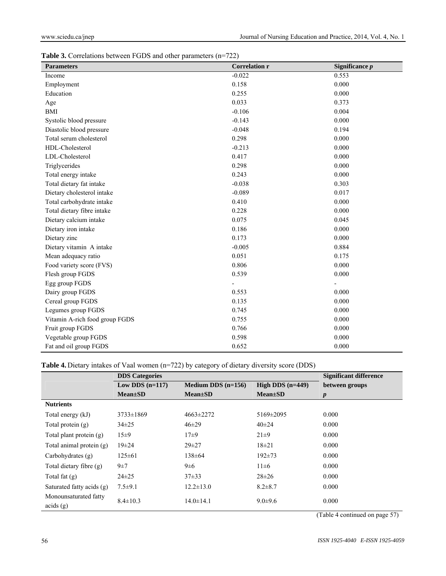**Table 3.** Correlations between FGDS and other parameters (n=722)

| <b>Parameters</b>              | <b>Correlation r</b> | Significance p |
|--------------------------------|----------------------|----------------|
| Income                         | $-0.022$             | 0.553          |
| Employment                     | 0.158                | 0.000          |
| Education                      | 0.255                | 0.000          |
| Age                            | 0.033                | 0.373          |
| <b>BMI</b>                     | $-0.106$             | 0.004          |
| Systolic blood pressure        | $-0.143$             | 0.000          |
| Diastolic blood pressure       | $-0.048$             | 0.194          |
| Total serum cholesterol        | 0.298                | 0.000          |
| HDL-Cholesterol                | $-0.213$             | 0.000          |
| LDL-Cholesterol                | 0.417                | 0.000          |
| Triglycerides                  | 0.298                | 0.000          |
| Total energy intake            | 0.243                | 0.000          |
| Total dietary fat intake       | $-0.038$             | 0.303          |
| Dietary cholesterol intake     | $-0.089$             | 0.017          |
| Total carbohydrate intake      | 0.410                | 0.000          |
| Total dietary fibre intake     | 0.228                | 0.000          |
| Dietary calcium intake         | 0.075                | 0.045          |
| Dietary iron intake            | 0.186                | 0.000          |
| Dietary zinc                   | 0.173                | 0.000          |
| Dietary vitamin A intake       | $-0.005$             | 0.884          |
| Mean adequacy ratio            | 0.051                | 0.175          |
| Food variety score (FVS)       | 0.806                | 0.000          |
| Flesh group FGDS               | 0.539                | 0.000          |
| Egg group FGDS                 |                      |                |
| Dairy group FGDS               | 0.553                | 0.000          |
| Cereal group FGDS              | 0.135                | 0.000          |
| Legumes group FGDS             | 0.745                | 0.000          |
| Vitamin A-rich food group FGDS | 0.755                | 0.000          |
| Fruit group FGDS               | 0.766                | 0.000          |
| Vegetable group FGDS           | 0.598                | 0.000          |
| Fat and oil group FGDS         | 0.652                | 0.000          |

Table 4. Dietary intakes of Vaal women (n=722) by category of dietary diversity score (DDS)

|                                   | <b>DDS</b> Categories                     | <b>Significant difference</b> |                    |                  |  |  |
|-----------------------------------|-------------------------------------------|-------------------------------|--------------------|------------------|--|--|
|                                   | Medium DDS $(n=156)$<br>Low DDS $(n=117)$ |                               | High DDS $(n=449)$ | between groups   |  |  |
|                                   | $Mean \pm SD$                             | $Mean \pm SD$                 | <b>Mean</b> ±SD    | $\boldsymbol{p}$ |  |  |
| <b>Nutrients</b>                  |                                           |                               |                    |                  |  |  |
| Total energy (kJ)                 | $3733\pm1869$                             | $4663 \pm 2272$               | 5169±2095          | 0.000            |  |  |
| Total protein $(g)$               | $34\pm 25$                                | $46\pm 29$                    | $40\pm 24$         | 0.000            |  |  |
| Total plant protein (g)           | $15\pm9$                                  | $17\pm9$                      | $21\pm9$           | 0.000            |  |  |
| Total animal protein (g)          | $19\pm 24$                                | $29 \pm 27$                   | $18 + 21$          | 0.000            |  |  |
| Carbohydrates (g)                 | $125 \pm 61$                              | $138 \pm 64$                  | $192 \pm 73$       | 0.000            |  |  |
| Total dietary fibre (g)           | $9\pm7$                                   | $9\pm 6$                      | $11\pm 6$          | 0.000            |  |  |
| Total fat $(g)$                   | $24\pm 25$                                | $37\pm33$                     | $28 \pm 26$        | 0.000            |  |  |
| Saturated fatty acids (g)         | $7.5 \pm 9.1$                             | $12.2 \pm 13.0$               | $8.2 \pm 8.7$      | 0.000            |  |  |
| Monounsaturated fatty<br>acids(g) | $8.4 \pm 10.3$                            | $14.0 \pm 14.1$               | $9.0 \pm 9.6$      | 0.000            |  |  |

(Table 4 continued on page 57)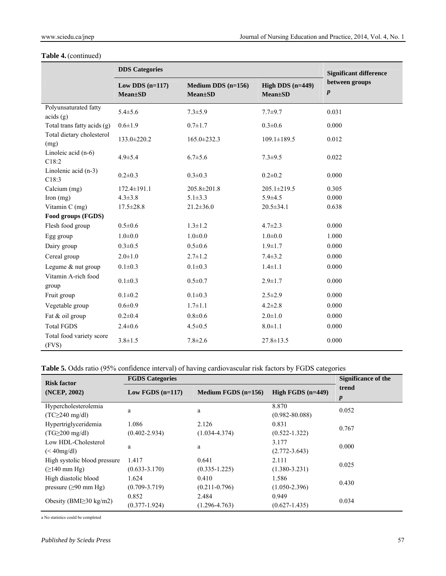|                                   | <b>DDS</b> Categories               | <b>Significant difference</b>        |                                       |                                    |  |
|-----------------------------------|-------------------------------------|--------------------------------------|---------------------------------------|------------------------------------|--|
|                                   | Low DDS $(n=117)$<br><b>Mean±SD</b> | Medium DDS (n=156)<br><b>Mean±SD</b> | High DDS $(n=449)$<br><b>Mean</b> ±SD | between groups<br>$\boldsymbol{p}$ |  |
| Polyunsaturated fatty<br>acids(g) | $5.4 \pm 5.6$                       | $7.3 \pm 5.9$                        | $7.7 + 9.7$                           | 0.031                              |  |
| Total trans fatty acids (g)       | $0.6 \pm 1.9$                       | $0.7 \pm 1.7$                        | $0.3 \pm 0.6$                         | 0.000                              |  |
| Total dietary cholesterol<br>(mg) | 133.0±220.2                         | $165.0 \pm 232.3$                    | $109.1 \pm 189.5$                     | 0.012                              |  |
| Linoleic acid (n-6)<br>C18:2      | $4.9 \pm 5.4$                       | $6.7 \pm 5.6$                        | $7.3 \pm 9.5$                         | 0.022                              |  |
| Linolenic acid $(n-3)$<br>C18:3   | $0.2 \pm 0.3$                       | $0.3 \pm 0.3$                        | $0.2 \pm 0.2$                         | 0.000                              |  |
| Calcium (mg)                      | $172.4 \pm 191.1$                   | $205.8 \pm 201.8$                    | $205.1 \pm 219.5$                     | 0.305                              |  |
| Iron $(mg)$                       | $4.3 \pm 3.8$                       | $5.1 \pm 3.3$                        | $5.9 \pm 4.5$                         | 0.000                              |  |
| Vitamin C (mg)                    | $17.5 \pm 28.8$                     | $21.2 \pm 36.0$                      | $20.5 \pm 34.1$                       | 0.638                              |  |
| Food groups (FGDS)                |                                     |                                      |                                       |                                    |  |
| Flesh food group                  | $0.5 \pm 0.6$                       | $1.3 \pm 1.2$                        | $4.7 \pm 2.3$                         | 0.000                              |  |
| Egg group                         | $1.0 \pm 0.0$                       | $1.0 + 0.0$                          | $1.0 + 0.0$                           | 1.000                              |  |
| Dairy group                       | $0.3 \pm 0.5$                       | $0.5 \pm 0.6$                        | $1.9 \pm 1.7$                         | 0.000                              |  |
| Cereal group                      | $2.0 + 1.0$                         | $2.7 \pm 1.2$                        | $7.4 \pm 3.2$                         | 0.000                              |  |
| Legume & nut group                | $0.1 \pm 0.3$                       | $0.1 \pm 0.3$                        | $1.4 \pm 1.1$                         | 0.000                              |  |
| Vitamin A-rich food<br>group      | $0.1 \pm 0.3$                       | $0.5 \pm 0.7$                        | $2.9 \pm 1.7$                         | 0.000                              |  |
| Fruit group                       | $0.1 \pm 0.2$                       | $0.1 \pm 0.3$                        | $2.5 \pm 2.9$                         | 0.000                              |  |
| Vegetable group                   | $0.6 + 0.9$                         | $1.7 \pm 1.1$                        | $4.2 \pm 2.8$                         | 0.000                              |  |
| Fat & oil group                   | $0.2 \pm 0.4$                       | $0.8 + 0.6$                          | $2.0 \pm 1.0$                         | 0.000                              |  |
| <b>Total FGDS</b>                 | $2.4 \pm 0.6$                       | $4.5 \pm 0.5$                        | $8.0 \pm 1.1$                         | 0.000                              |  |
| Total food variety score<br>(FVS) | $3.8 \pm 1.5$                       | $7.8 \pm 2.6$                        | $27.8 \pm 13.5$                       | 0.000                              |  |

#### **Table 4.** (continued)

**Table 5.** Odds ratio (95% confidence interval) of having cardiovascular risk factors by FGDS categories

| <b>Risk factor</b>                 | <b>FGDS Categories</b> | <b>Significance of the</b> |                     |                  |
|------------------------------------|------------------------|----------------------------|---------------------|------------------|
| (NCEP, 2002)                       | Low FGDS $(n=117)$     | Medium FGDS $(n=156)$      | High FGDS $(n=449)$ | trend            |
|                                    |                        |                            |                     | $\boldsymbol{p}$ |
| Hypercholesterolemia               | a                      | a                          | 8.870               | 0.052            |
| $(TC\geq 240 \text{ mg/dl})$       |                        |                            | $(0.982 - 80.088)$  |                  |
| Hypertriglyceridemia               | 1.086                  | 2.126                      | 0.831               |                  |
| $(TG\geq 200 \text{ mg/dl})$       | $(0.402 - 2.934)$      | $(1.034 - 4.374)$          | $(0.522 - 1.322)$   | 0.767            |
| Low HDL-Cholesterol                |                        |                            | 3.177               |                  |
| $(40 \text{mg/dl})$                | a                      | a                          | $(2.772 - 3.643)$   | 0.000            |
| High systolic blood pressure       | 1.417                  | 0.641                      | 2.111               | 0.025            |
| $(\geq 140$ mm Hg)                 | $(0.633 - 3.170)$      | $(0.335 - 1.225)$          | $(1.380 - 3.231)$   |                  |
| High diastolic blood               | 1.624                  | 0.410                      | 1.586               | 0.430            |
| pressure $(\geq 90 \text{ mm Hg})$ | $(0.709 - 3.719)$      | $(0.211 - 0.796)$          | $(1.050 - 2.396)$   |                  |
|                                    | 0.852                  | 2.484                      | 0.949               |                  |
| Obesity (BMI $\geq$ 30 kg/m2)      | $(0.377 - 1.924)$      | $(1.296 - 4.763)$          | $(0.627 - 1.435)$   | 0.034            |

a No statistics could be completed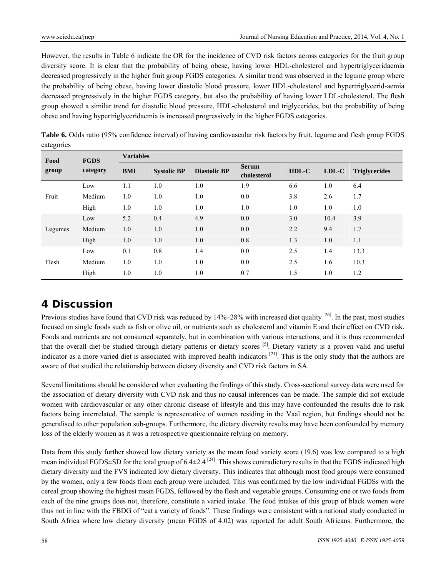However, the results in Table 6 indicate the OR for the incidence of CVD risk factors across categories for the fruit group diversity score. It is clear that the probability of being obese, having lower HDL-cholesterol and hypertriglyceridaemia decreased progressively in the higher fruit group FGDS categories. A similar trend was observed in the legume group where the probability of being obese, having lower diastolic blood pressure, lower HDL-cholesterol and hypertriglycerid-aemia decreased progressively in the higher FGDS category, but also the probability of having lower LDL-cholesterol. The flesh group showed a similar trend for diastolic blood pressure, HDL-cholesterol and triglycerides, but the probability of being obese and having hypertriglyceridaemia is increased progressively in the higher FGDS categories.

| Food    | <b>FGDS</b> | <b>Variables</b> |                    |                     |                             |       |       |                      |
|---------|-------------|------------------|--------------------|---------------------|-----------------------------|-------|-------|----------------------|
| group   | category    | <b>BMI</b>       | <b>Systolic BP</b> | <b>Diastolic BP</b> | <b>Serum</b><br>cholesterol | HDL-C | LDL-C | <b>Triglycerides</b> |
|         | Low         | 1.1              | 1.0                | 1.0                 | 1.9                         | 6.6   | 1.0   | 6.4                  |
| Fruit   | Medium      | 1.0              | 1.0                | 1.0                 | $0.0\,$                     | 3.8   | 2.6   | 1.7                  |
|         | High        | 1.0              | 1.0                | 1.0                 | 1.0                         | 1.0   | 1.0   | 1.0                  |
| Legumes | Low         | 5.2              | 0.4                | 4.9                 | 0.0                         | 3.0   | 10.4  | 3.9                  |
|         | Medium      | 1.0              | 1.0                | 1.0                 | 0.0                         | 2.2   | 9.4   | 1.7                  |
|         | High        | 1.0              | 1.0                | 1.0                 | 0.8                         | 1.3   | 1.0   | 1.1                  |
| Flesh   | Low         | 0.1              | 0.8                | 1.4                 | 0.0                         | 2.5   | 1.4   | 13.3                 |
|         | Medium      | 1.0              | 1.0                | 1.0                 | $0.0\,$                     | 2.5   | 1.6   | 10.3                 |
|         | High        | 1.0              | 1.0                | 1.0                 | 0.7                         | 1.5   | 1.0   | 1.2                  |

**Table 6.** Odds ratio (95% confidence interval) of having cardiovascular risk factors by fruit, legume and flesh group FGDS categories

## **4 Discussion**

Previous studies have found that CVD risk was reduced by  $14\%-28\%$  with increased diet quality  $^{[26]}$ . In the past, most studies focused on single foods such as fish or olive oil, or nutrients such as cholesterol and vitamin E and their effect on CVD risk. Foods and nutrients are not consumed separately, but in combination with various interactions, and it is thus recommended that the overall diet be studied through dietary patterns or dietary scores <sup>[5]</sup>. Dietary variety is a proven valid and useful indicator as a more varied diet is associated with improved health indicators  $[21]$ . This is the only study that the authors are aware of that studied the relationship between dietary diversity and CVD risk factors in SA.

Several limitations should be considered when evaluating the findings of this study. Cross-sectional survey data were used for the association of dietary diversity with CVD risk and thus no causal inferences can be made. The sample did not exclude women with cardiovascular or any other chronic disease of lifestyle and this may have confounded the results due to risk factors being interrelated. The sample is representative of women residing in the Vaal region, but findings should not be generalised to other population sub-groups. Furthermore, the dietary diversity results may have been confounded by memory loss of the elderly women as it was a retrospective questionnaire relying on memory.

Data from this study further showed low dietary variety as the mean food variety score (19.6) was low compared to a high mean individual FGDS $\pm$ SD for the total group of 6.4 $\pm$ 2.4 [<sup>24]</sup>. This shows contradictory results in that the FGDS indicated high dietary diversity and the FVS indicated low dietary diversity. This indicates that although most food groups were consumed by the women, only a few foods from each group were included. This was confirmed by the low individual FGDSs with the cereal group showing the highest mean FGDS, followed by the flesh and vegetable groups. Consuming one or two foods from each of the nine groups does not, therefore, constitute a varied intake. The food intakes of this group of black women were thus not in line with the FBDG of "eat a variety of foods". These findings were consistent with a national study conducted in South Africa where low dietary diversity (mean FGDS of 4.02) was reported for adult South Africans. Furthermore, the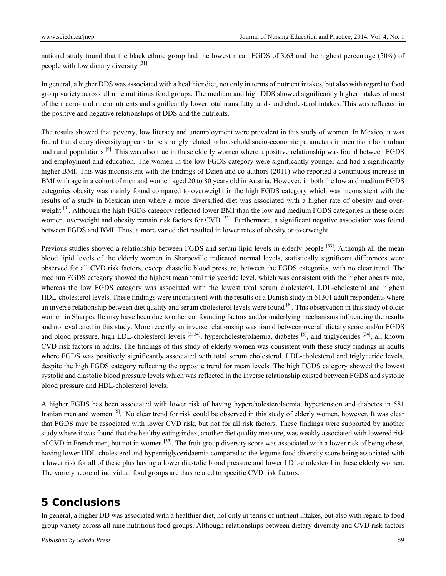national study found that the black ethnic group had the lowest mean FGDS of 3.63 and the highest percentage (50%) of people with low dietary diversity  $[31]$ .

In general, a higher DDS was associated with a healthier diet, not only in terms of nutrient intakes, but also with regard to food group variety across all nine nutritious food groups. The medium and high DDS showed significantly higher intakes of most of the macro- and micronutrients and significantly lower total trans fatty acids and cholesterol intakes. This was reflected in the positive and negative relationships of DDS and the nutrients.

The results showed that poverty, low literacy and unemployment were prevalent in this study of women. In Mexico, it was found that dietary diversity appears to be strongly related to household socio-economic parameters in men from both urban and rural populations  $[9]$ . This was also true in these elderly women where a positive relationship was found between FGDS and employment and education. The women in the low FGDS category were significantly younger and had a significantly higher BMI. This was inconsistent with the findings of Dzien and co-authors (2011) who reported a continuous increase in BMI with age in a cohort of men and women aged 20 to 80 years old in Austria. However, in both the low and medium FGDS categories obesity was mainly found compared to overweight in the high FGDS category which was inconsistent with the results of a study in Mexican men where a more diversified diet was associated with a higher rate of obesity and overweight <sup>[9]</sup>. Although the high FGDS category reflected lower BMI than the low and medium FGDS categories in these older women, overweight and obesity remain risk factors for CVD  $^{[32]}$ . Furthermore, a significant negative association was found between FGDS and BMI. Thus, a more varied diet resulted in lower rates of obesity or overweight.

Previous studies showed a relationship between FGDS and serum lipid levels in elderly people [33]. Although all the mean blood lipid levels of the elderly women in Sharpeville indicated normal levels, statistically significant differences were observed for all CVD risk factors, except diastolic blood pressure, between the FGDS categories, with no clear trend. The medium FGDS category showed the highest mean total triglyceride level, which was consistent with the higher obesity rate, whereas the low FGDS category was associated with the lowest total serum cholesterol, LDL-cholesterol and highest HDL-cholesterol levels. These findings were inconsistent with the results of a Danish study in 61301 adult respondents where an inverse relationship between diet quality and serum cholesterol levels were found <sup>[6]</sup>. This observation in this study of older women in Sharpeville may have been due to other confounding factors and/or underlying mechanisms influencing the results and not evaluated in this study. More recently an inverse relationship was found between overall dietary score and/or FGDS and blood pressure, high LDL-cholesterol levels  $[5, 34]$ , hypercholesterolaemia, diabetes  $[5]$ , and triglycerides  $[34]$ , all known CVD risk factors in adults. The findings of this study of elderly women was consistent with these study findings in adults where FGDS was positively significantly associated with total serum cholesterol, LDL-cholesterol and triglyceride levels, despite the high FGDS category reflecting the opposite trend for mean levels. The high FGDS category showed the lowest systolic and diastolic blood pressure levels which was reflected in the inverse relationship existed between FGDS and systolic blood pressure and HDL-cholesterol levels.

A higher FGDS has been associated with lower risk of having hypercholesterolaemia, hypertension and diabetes in 581 Iranian men and women [5]. No clear trend for risk could be observed in this study of elderly women, however. It was clear that FGDS may be associated with lower CVD risk, but not for all risk factors. These findings were supported by another study where it was found that the healthy eating index, another diet quality measure, was weakly associated with lowered risk of CVD in French men, but not in women <sup>[35]</sup>. The fruit group diversity score was associated with a lower risk of being obese, having lower HDL-cholesterol and hypertriglyceridaemia compared to the legume food diversity score being associated with a lower risk for all of these plus having a lower diastolic blood pressure and lower LDL-cholesterol in these elderly women. The variety score of individual food groups are thus related to specific CVD risk factors.

## **5 Conclusions**

In general, a higher DD was associated with a healthier diet, not only in terms of nutrient intakes, but also with regard to food group variety across all nine nutritious food groups. Although relationships between dietary diversity and CVD risk factors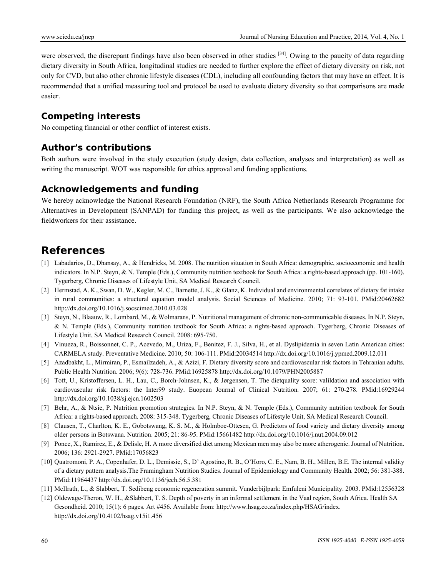were observed, the discrepant findings have also been observed in other studies  $[34]$ . Owing to the paucity of data regarding dietary diversity in South Africa, longitudinal studies are needed to further explore the effect of dietary diversity on risk, not only for CVD, but also other chronic lifestyle diseases (CDL), including all confounding factors that may have an effect. It is recommended that a unified measuring tool and protocol be used to evaluate dietary diversity so that comparisons are made easier.

### **Competing interests**

No competing financial or other conflict of interest exists.

## **Author's contributions**

Both authors were involved in the study execution (study design, data collection, analyses and interpretation) as well as writing the manuscript. WOT was responsible for ethics approval and funding applications.

## **Acknowledgements and funding**

We hereby acknowledge the National Research Foundation (NRF), the South Africa Netherlands Research Programme for Alternatives in Development (SANPAD) for funding this project, as well as the participants. We also acknowledge the fieldworkers for their assistance.

## **References**

- [1] Labadarios, D., Dhansay, A., & Hendricks, M. 2008. The nutrition situation in South Africa: demographic, socioeconomic and health indicators. In N.P. Steyn, & N. Temple (Eds.), Community nutrition textbook for South Africa: a rights-based approach (pp. 101-160). Tygerberg, Chronic Diseases of Lifestyle Unit, SA Medical Research Council.
- [2] Hermstad, A. K., Swan, D. W., Kegler, M. C., Barnette, J. K., & Glanz, K. Individual and environmental correlates of dietary fat intake in rural communities: a structural equation model analysis. Social Sciences of Medicine. 2010; 71: 93-101. PMid:20462682 http://dx.doi.org/10.1016/j.socscimed.2010.03.028
- [3] Steyn, N., Blaauw, R., Lombard, M., & Wolmarans, P. Nutritional management of chronic non-communicable diseases. In N.P. Steyn, & N. Temple (Eds.), Community nutrition textbook for South Africa: a rights-based approach. Tygerberg, Chronic Diseases of Lifestyle Unit, SA Medical Research Council. 2008: 695-750.
- [4] Vinueza, R., Boissonnet, C. P., Acevedo, M., Uriza, F., Benitez, F. J., Silva, H., et al. Dyslipidemia in seven Latin American cities: CARMELA study. Preventative Medicine. 2010; 50: 106-111. PMid:20034514 http://dx.doi.org/10.1016/j.ypmed.2009.12.011
- [5] Azadbakht, L., Mirmiran, P., Esmailzadeh, A., & Azizi, F. Dietary diversity score and cardiovascular risk factors in Tehranian adults. Public Health Nutrition. 2006; 9(6): 728-736. PMid:16925878 http://dx.doi.org/10.1079/PHN2005887
- [6] Toft, U., Kristoffersen, L. H., Lau, C., Borch-Johnsen, K., & Jørgensen, T. The dietquality score: valildation and association with cardiovascular risk factors: the Inter99 study. Euopean Journal of Clinical Nutrition. 2007; 61: 270-278. PMid:16929244 http://dx.doi.org/10.1038/sj.ejcn.1602503
- [7] Behr, A., & Ntsie, P. Nutrition promotion strategies. In N.P. Steyn, & N. Temple (Eds.), Community nutrition textbook for South Africa: a rights-based approach. 2008: 315-348. Tygerberg, Chronic Diseases of Lifestyle Unit, SA Medical Research Council.
- [8] Clausen, T., Charlton, K. E., Gobotswang, K. S. M., & Holmboe-Ottesen, G. Predictors of food variety and dietary diversity among older persons in Botswana. Nutrition. 2005; 21: 86-95. PMid:15661482 http://dx.doi.org/10.1016/j.nut.2004.09.012
- [9] Ponce, X., Ramirez, E., & Delisle, H. A more diversified diet among Mexican men may also be more atherogenic. Journal of Nutrition. 2006; 136: 2921-2927. PMid:17056823
- [10] Quatromoni, P. A., Copenhafer, D. L., Demissie, S., D' Agostino, R. B., O'Horo, C. E., Nam, B. H., Millen, B.E. The internal validity of a dietary pattern analysis.The Framingham Nutrition Studies. Journal of Epidemiology and Community Health. 2002; 56: 381-388. PMid:11964437 http://dx.doi.org/10.1136/jech.56.5.381
- [11] McIlrath, L., & Slabbert, T. Sedibeng economic regeneration summit. Vanderbijlpark: Emfuleni Municipality. 2003. PMid:12556328
- [12] Oldewage-Theron, W. H., &Slabbert, T. S. Depth of poverty in an informal settlement in the Vaal region, South Africa. Health SA Gesondheid. 2010; 15(1): 6 pages. Art #456. Available from: http://www.hsag.co.za/index.php/HSAG/index. http://dx.doi.org/10.4102/hsag.v15i1.456